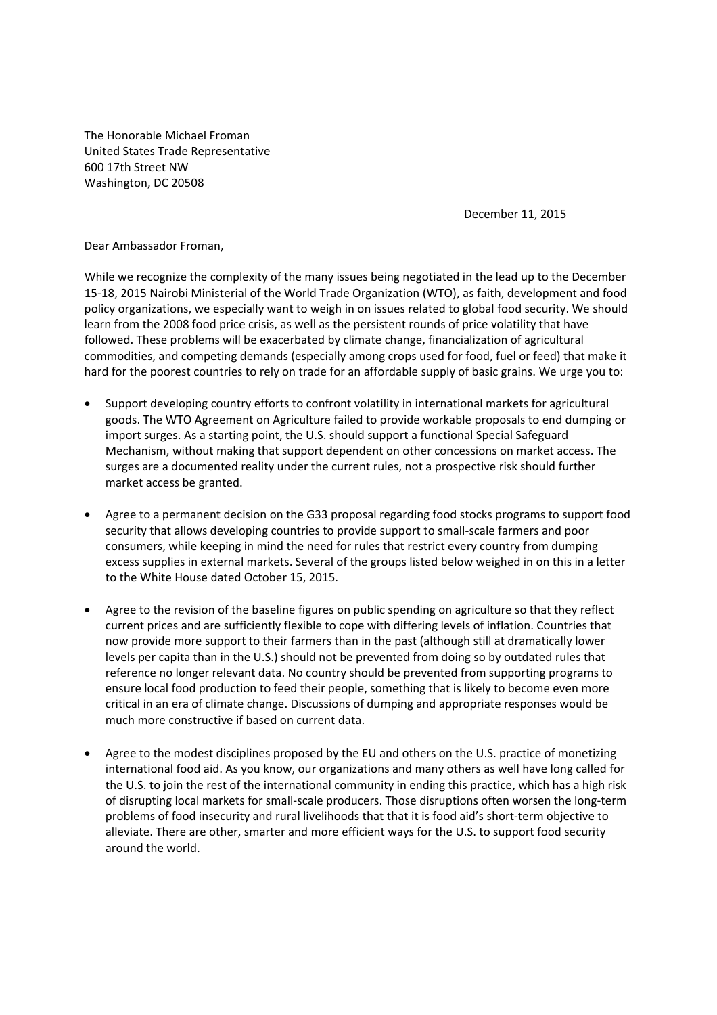The Honorable Michael Froman United States Trade Representative 600 17th Street NW Washington, DC 20508

December 11, 2015

Dear Ambassador Froman,

While we recognize the complexity of the many issues being negotiated in the lead up to the December 15‐18, 2015 Nairobi Ministerial of the World Trade Organization (WTO), as faith, development and food policy organizations, we especially want to weigh in on issues related to global food security. We should learn from the 2008 food price crisis, as well as the persistent rounds of price volatility that have followed. These problems will be exacerbated by climate change, financialization of agricultural commodities, and competing demands (especially among crops used for food, fuel or feed) that make it hard for the poorest countries to rely on trade for an affordable supply of basic grains. We urge you to:

- Support developing country efforts to confront volatility in international markets for agricultural goods. The WTO Agreement on Agriculture failed to provide workable proposals to end dumping or import surges. As a starting point, the U.S. should support a functional Special Safeguard Mechanism, without making that support dependent on other concessions on market access. The surges are a documented reality under the current rules, not a prospective risk should further market access be granted.
- Agree to a permanent decision on the G33 proposal regarding food stocks programs to support food security that allows developing countries to provide support to small‐scale farmers and poor consumers, while keeping in mind the need for rules that restrict every country from dumping excess supplies in external markets. Several of the groups listed below weighed in on this in a letter to the White House dated October 15, 2015.
- Agree to the revision of the baseline figures on public spending on agriculture so that they reflect current prices and are sufficiently flexible to cope with differing levels of inflation. Countries that now provide more support to their farmers than in the past (although still at dramatically lower levels per capita than in the U.S.) should not be prevented from doing so by outdated rules that reference no longer relevant data. No country should be prevented from supporting programs to ensure local food production to feed their people, something that is likely to become even more critical in an era of climate change. Discussions of dumping and appropriate responses would be much more constructive if based on current data.
- Agree to the modest disciplines proposed by the EU and others on the U.S. practice of monetizing international food aid. As you know, our organizations and many others as well have long called for the U.S. to join the rest of the international community in ending this practice, which has a high risk of disrupting local markets for small‐scale producers. Those disruptions often worsen the long‐term problems of food insecurity and rural livelihoods that that it is food aid's short-term objective to alleviate. There are other, smarter and more efficient ways for the U.S. to support food security around the world.